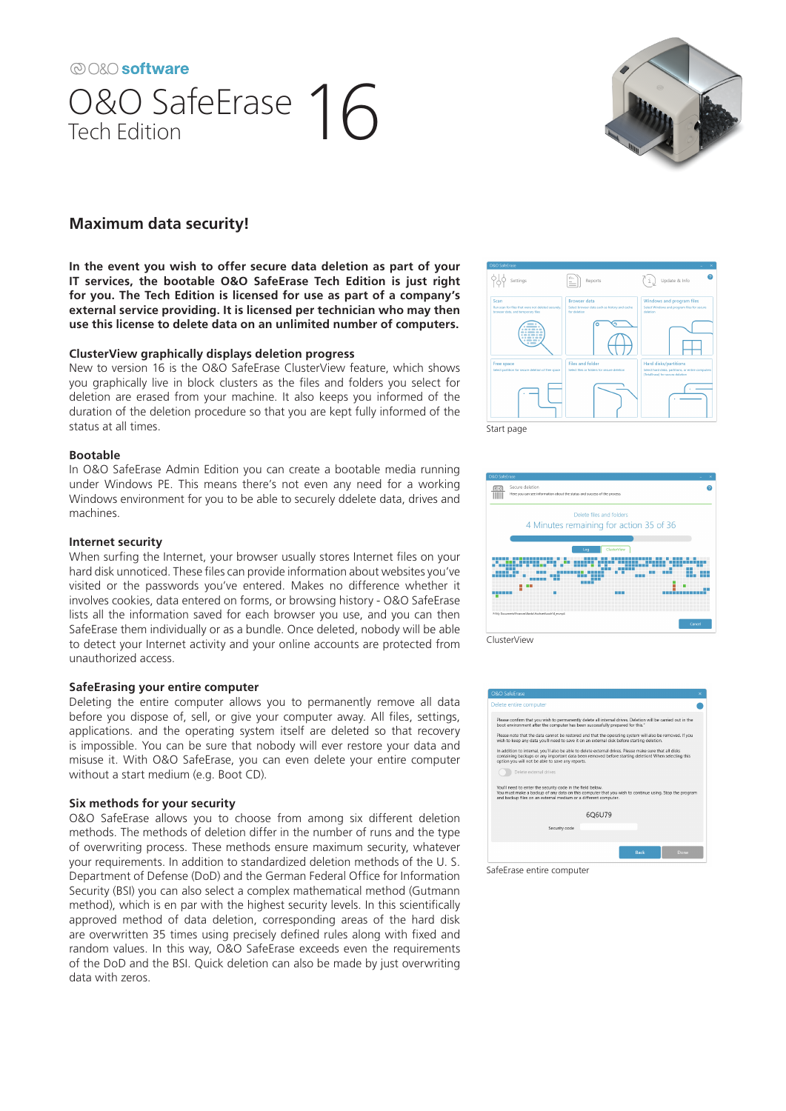@O&O software O&O SafeErase 16



# **Maximum data security!**

**In the event you wish to offer secure data deletion as part of your IT services, the bootable O&O SafeErase Tech Edition is just right for you. The Tech Edition is licensed for use as part of a company's external service providing. It is licensed per technician who may then use this license to delete data on an unlimited number of computers.**

# **ClusterView graphically displays deletion progress**

New to version 16 is the O&O SafeErase ClusterView feature, which shows you graphically live in block clusters as the files and folders you select for deletion are erased from your machine. It also keeps you informed of the duration of the deletion procedure so that you are kept fully informed of the status at all times.

### **Bootable**

In O&O SafeErase Admin Edition you can create a bootable media running under Windows PE. This means there's not even any need for a working Windows environment for you to be able to securely ddelete data, drives and machines.



When surfing the Internet, your browser usually stores Internet files on your hard disk unnoticed. These files can provide information about websites you've visited or the passwords you've entered. Makes no difference whether it involves cookies, data entered on forms, or browsing history - O&O SafeErase lists all the information saved for each browser you use, and you can then SafeErase them individually or as a bundle. Once deleted, nobody will be able to detect your Internet activity and your online accounts are protected from unauthorized access.

### **SafeErasing your entire computer**

Deleting the entire computer allows you to permanently remove all data before you dispose of, sell, or give your computer away. All files, settings, applications. and the operating system itself are deleted so that recovery is impossible. You can be sure that nobody will ever restore your data and misuse it. With O&O SafeErase, you can even delete your entire computer without a start medium (e.g. Boot CD).

#### **Six methods for your security**

O&O SafeErase allows you to choose from among six different deletion methods. The methods of deletion differ in the number of runs and the type of overwriting process. These methods ensure maximum security, whatever your requirements. In addition to standardized deletion methods of the U. S. Department of Defense (DoD) and the German Federal Office for Information Security (BSI) you can also select a complex mathematical method (Gutmann method), which is en par with the highest security levels. In this scientifically approved method of data deletion, corresponding areas of the hard disk are overwritten 35 times using precisely defined rules along with fixed and random values. In this way, O&O SafeErase exceeds even the requirements of the DoD and the BSI. Quick deletion can also be made by just overwriting data with zeros.







SafeErase entire computer